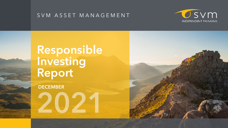#### S V M A S S E T M A N A G E M E N T

# **Responsible Investing Report**

**DECEMBER** 



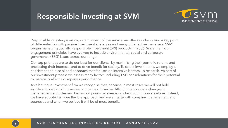### **Responsible Investing at SVM**

Responsible investing is an important aspect of the service we offer our clients and a key point of differentiation with passive investment strategies and many other active managers. SVM began managing Socially Responsible Investment (SRI) products in 2006. Since then, our engagement principles have evolved to include environmental, social and corporate governance (ESG) issues across our range.

Our top priorities are to do our best for our clients, by maximising their portfolio returns and protecting their interests, and to drive benefit for society. To select investments, we employ a consistent and disciplined approach that focuses on intensive bottom up research. As part of our investment process we assess many factors including ESG considerations for their potential to materially affect a company's performance.

As a boutique investment firm we recognise that, because in most cases we will not hold significant positions in investee companies, it can be difficult to encourage changes in management attitudes and behaviour purely by exercising client voting powers alone. Instead, we have adopted a more flexible approach and we engage with company management and boards as and when we believe it will be of most benefit.



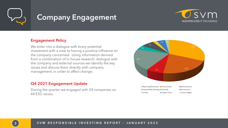

### **Company Engagement**

#### Engagement Policy

We enter into a dialogue with every potential investment with a view to having a positive influence on the company concerned. Using information derived from a combination of in-house research, dialogue with the company and external sources we identify the key issues and discuss them directly with company management, in order to affect change.

#### Q4 2021 Engagement Update

During the quarter we engaged with 24 companies on 44 ESG issues.



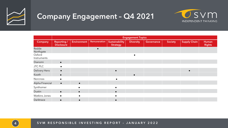

## **Company Engagement – Q4 2021**

|                       | <b>Engagement Topics</b>                |                    |              |                                   |                  |                   |                |                     |                        |
|-----------------------|-----------------------------------------|--------------------|--------------|-----------------------------------|------------------|-------------------|----------------|---------------------|------------------------|
| <b>Company</b>        | <b>Reporting /</b><br><b>Disclosure</b> | <b>Environment</b> | Remuneration | Sustainability<br><b>Strategy</b> | <b>Diversity</b> | <b>Governance</b> | <b>Society</b> | <b>Supply Chain</b> | Human<br><b>Rights</b> |
| Redde<br>Northgate    |                                         |                    |              |                                   |                  |                   |                |                     |                        |
| Oxford<br>Instruments |                                         |                    |              |                                   |                  |                   |                |                     |                        |
| Dianomi               | $\bullet$                               |                    |              |                                   |                  |                   |                |                     |                        |
| <b>JTC PLC</b>        |                                         |                    |              |                                   |                  |                   |                |                     |                        |
| Delivery Hero         | $\bullet$                               |                    |              | $\bullet$                         |                  |                   |                |                     |                        |
| Kooth                 |                                         |                    |              |                                   | $\bullet$        |                   |                |                     |                        |
| Norcross              |                                         |                    |              |                                   |                  |                   |                |                     |                        |
| Alpha Financial       | $\bullet$                               | $\bullet$          |              |                                   |                  |                   |                |                     |                        |
| Synthomer             |                                         |                    |              |                                   |                  |                   |                |                     |                        |
| Dustin                | $\bullet$                               | $\bullet$          |              | $\bullet$                         |                  |                   |                |                     |                        |
| <b>Watkins Jones</b>  | $\bullet$                               |                    |              |                                   |                  |                   |                |                     |                        |
| Darktrace             |                                         |                    |              |                                   |                  |                   |                |                     |                        |

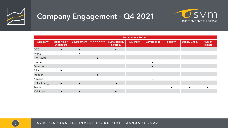

## **Company Engagement – Q4 2021**

5 S V M R E S P O N S I B L E I N V E S T I N G R E P O R T – J A N U A R Y 2 0 2 2





|                      | <b>Engagement Topics</b>                |                    |              |                                   |                  |            |         |                     |                        |
|----------------------|-----------------------------------------|--------------------|--------------|-----------------------------------|------------------|------------|---------|---------------------|------------------------|
| Company              | <b>Reporting /</b><br><b>Disclosure</b> | <b>Environment</b> | Remuneration | Sustainability<br><b>Strategy</b> | <b>Diversity</b> | Governance | Society | <b>Supply Chain</b> | Human<br><b>Rights</b> |
| <b>DCC</b>           | $\bullet$                               | $\bullet$          |              | $\bullet$                         |                  |            |         |                     |                        |
| Ryanair              |                                         |                    |              |                                   |                  |            |         |                     |                        |
| <b>ITM Power</b>     |                                         |                    | $\bullet$    |                                   |                  |            |         |                     |                        |
| Diurnal              |                                         |                    |              |                                   |                  |            |         |                     |                        |
| Essensys             |                                         |                    |              |                                   |                  |            |         |                     |                        |
| Allianz              |                                         |                    |              |                                   |                  |            |         |                     |                        |
| Ideagen              |                                         |                    |              |                                   |                  |            |         |                     |                        |
| Nagarro              |                                         |                    |              |                                   |                  |            |         |                     |                        |
| <b>Deltic Energy</b> | $\bullet$                               | $\bullet$          |              | $\bullet$                         |                  |            |         |                     |                        |
| Tesco                |                                         |                    |              |                                   |                  |            |         |                     |                        |
| <b>JDE Peets</b>     | $\bullet$                               | $\bullet$          |              | $\bullet$                         |                  |            |         |                     |                        |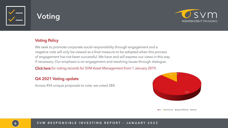



#### **Voting Policy**

We seek to promote corporate social responsibility through engagement and a negative vote will only be viewed as a final measure to be adopted when this process of engagement has not been successful. We have and will express our views in this way if necessary. Our emphasis is on engagement and resolving issues through dialogue.

[Click here](https://vds.issgovernance.com/vds/#/MTA4NDc=/) for voting records for SVM Asset Management from 1 January 2019.

#### Q4 2021 Voting update

Across 454 unique proposals to vote, we voted 384.





- 
- 
- 
- 
- 

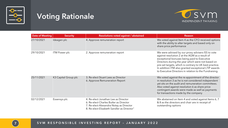

## **Voting Rationale**



| <b>Date of Meeting</b> | <b>Security</b>      | Resolutions voted against / abstained                                                                                                                                   | <b>Reason</b>                                                                                                                                                                                                                                                                                                                                                                        |
|------------------------|----------------------|-------------------------------------------------------------------------------------------------------------------------------------------------------------------------|--------------------------------------------------------------------------------------------------------------------------------------------------------------------------------------------------------------------------------------------------------------------------------------------------------------------------------------------------------------------------------------|
| 27/10/2021             | Ideagen plc          | 4. Approve remuneration report                                                                                                                                          | We voted against Item 4 as the CFO received options<br>with the ability to alter targets and based only on<br>share price performance                                                                                                                                                                                                                                                |
| 29/10/2021             | <b>ITM Power plc</b> | 2. Approve remuneration report                                                                                                                                          | We were advised by our proxy advisers ISS to vote<br>against resolution 2 at the AGM as a result of<br>exceptional bonuses being paid to Executive<br>Directors during the year which were not based on<br>pre-set targets, which is contrary to UK best practice.<br>In addition ITM also granted exceptional LTIP awards<br>to Executive Directors in relation to the Fundraising. |
| 25/11/2021             | K3 Capital Group plc | 3. Re-elect Stuart Lees as Director<br>6. Approve Remuneration Report                                                                                                   | We voted against the re-appointment of the director<br>in resolution 3 as he is not considered independent<br>yet sits on the audit and remuneration committees.<br>Also voted against resolution 6 as share price<br>contingent awards were made as well as payments<br>for transactions made by the company                                                                        |
| 02/12/2021             | Essensys plc         | 4. Re-elect Jonathan Lee as Director<br>6. Re-elect Charles Butler as Director<br>7. Re-elect Alexandra Notay as Director<br>8. Re-elect Elizabeth Sandler as Director" | We abstained on Item 4 and voted against Items 6, 7<br>& 8 as the directors and chair are in receipt of<br>outstanding options                                                                                                                                                                                                                                                       |

| <b>Date of Meeting</b> | <b>Security</b>      | Resolutions voted against / abstained                                                                                                                                   | Reason                                                                                                                                                                                                                                                                                                                                                                               |
|------------------------|----------------------|-------------------------------------------------------------------------------------------------------------------------------------------------------------------------|--------------------------------------------------------------------------------------------------------------------------------------------------------------------------------------------------------------------------------------------------------------------------------------------------------------------------------------------------------------------------------------|
| 27/10/2021             | Ideagen plc          | 4. Approve remuneration report                                                                                                                                          | We voted against Item 4 as the CFO received options<br>with the ability to alter targets and based only on<br>share price performance                                                                                                                                                                                                                                                |
| 29/10/2021             | <b>ITM Power plc</b> | 2. Approve remuneration report                                                                                                                                          | We were advised by our proxy advisers ISS to vote<br>against resolution 2 at the AGM as a result of<br>exceptional bonuses being paid to Executive<br>Directors during the year which were not based on<br>pre-set targets, which is contrary to UK best practice.<br>In addition ITM also granted exceptional LTIP awards<br>to Executive Directors in relation to the Fundraising. |
| 25/11/2021             | K3 Capital Group plc | 3. Re-elect Stuart Lees as Director<br>6. Approve Remuneration Report                                                                                                   | We voted against the re-appointment of the director<br>in resolution 3 as he is not considered independent<br>yet sits on the audit and remuneration committees.<br>Also voted against resolution 6 as share price<br>contingent awards were made as well as payments<br>for transactions made by the company                                                                        |
| 02/12/2021             | Essensys plc         | 4. Re-elect Jonathan Lee as Director<br>6. Re-elect Charles Butler as Director<br>7. Re-elect Alexandra Notay as Director<br>8. Re-elect Elizabeth Sandler as Director" | We abstained on Item 4 and voted against Items 6, 7<br>& 8 as the directors and chair are in receipt of<br>outstanding options                                                                                                                                                                                                                                                       |

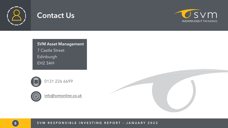

### **Contact Us**

**SVM Asset Management**  7 Castle Street Edinburgh EH2 3AH





[info@svmonline.co.uk](mailto:grobinson@svmonline.co.uk)

8 SVM RESPONSIBLE INVESTING REPORT - JANUARY 2022